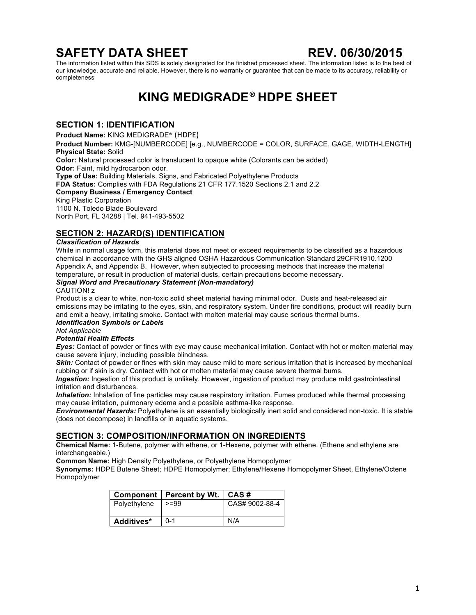# **SAFETY DATA SHEET REV. 06/30/2015**

The information listed within this SDS is solely designated for the finished processed sheet. The information listed is to the best of our knowledge, accurate and reliable. However, there is no warranty or guarantee that can be made to its accuracy, reliability or completeness

# **KING MEDIGRADE**® **HDPE SHEET**

### **SECTION 1: IDENTIFICATION**

**Product Name:** KING MEDIGRADE® (HDPE)

**Product Number:** KMG-[NUMBERCODE] [e.g., NUMBERCODE = COLOR, SURFACE, GAGE, WIDTH-LENGTH] **Physical State:** Solid

**Color:** Natural processed color is translucent to opaque white (Colorants can be added) **Odor: Faint, mild hydrocarbon odor.** 

**Type of Use:** Building Materials, Signs, and Fabricated Polyethylene Products

**FDA Status:** Complies with FDA Regulations 21 CFR 177.1520 Sections 2.1 and 2.2

**Company Business / Emergency Contact**

### King Plastic Corporation

1100 N. Toledo Blade Boulevard North Port, FL 34288 | Tel. 941-493-5502

### **SECTION 2: HAZARD(S) IDENTIFICATION**

### *Classification of Hazards*

While in normal usage form, this material does not meet or exceed requirements to be classified as a hazardous chemical in accordance with the GHS aligned OSHA Hazardous Communication Standard 29CFR1910.1200 Appendix A, and Appendix B. However, when subjected to processing methods that increase the material temperature, or result in production of material dusts, certain precautions become necessary.

### *Signal Word and Precautionary Statement (Non-mandatory)*

### CAUTION! z

Product is a clear to white, non-toxic solid sheet material having minimal odor. Dusts and heat-released air emissions may be irritating to the eyes, skin, and respiratory system. Under fire conditions, product will readily burn and emit a heavy, irritating smoke. Contact with molten material may cause serious thermal bums. *Identification Symbols or Labels* 

## *Not Applicable*

### *Potential Health Effects*

*Eyes:* Contact of powder or fines with eye may cause mechanical irritation. Contact with hot or molten material may cause severe injury, including possible blindness.

**Skin:** Contact of powder or fines with skin may cause mild to more serious irritation that is increased by mechanical rubbing or if skin is dry. Contact with hot or molten material may cause severe thermal bums.

*Ingestion:* Ingestion of this product is unlikely. However, ingestion of product may produce mild gastrointestinal irritation and disturbances.

*Inhalation:* Inhalation of fine particles may cause respiratory irritation. Fumes produced while thermal processing may cause irritation, pulmonary edema and a possible asthma-like response.

*Environmental Hazards:* Polyethylene is an essentially biologically inert solid and considered non-toxic. It is stable (does not decompose) in landfills or in aquatic systems.

### **SECTION 3: COMPOSITION/INFORMATION ON INGREDIENTS**

**Chemical Name:** 1-Butene, polymer with ethene, or 1-Hexene, polymer with ethene. (Ethene and ethylene are interchangeable.)

**Common Name:** High Density Polyethylene, or Polyethylene Homopolymer

**Synonyms:** HDPE Butene Sheet; HDPE Homopolymer; Ethylene/Hexene Homopolymer Sheet, Ethylene/Octene Homopolymer

|              | Component   Percent by Wt.   CAS # |                |
|--------------|------------------------------------|----------------|
| Polyethylene | $>=99$                             | CAS# 9002-88-4 |
|              |                                    |                |
| Additives*   | $0 - 1$                            | N/A            |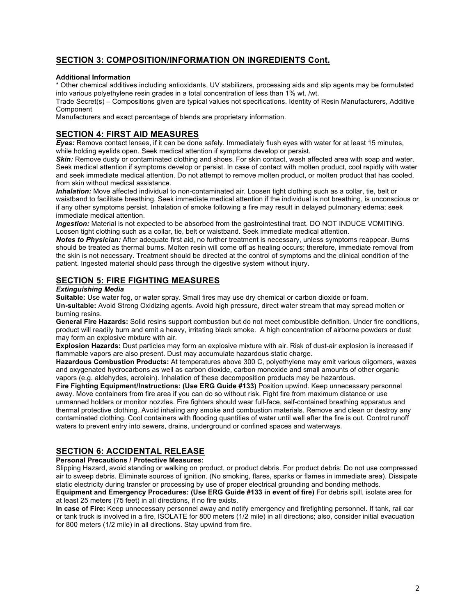### **SECTION 3: COMPOSITION/INFORMATION ON INGREDIENTS Cont.**

### **Additional Information**

\* Other chemical additives including antioxidants, UV stabilizers, processing aids and slip agents may be formulated into various polyethylene resin grades in a total concentration of less than 1% wt. /wt.

Trade Secret(s) – Compositions given are typical values not specifications. Identity of Resin Manufacturers, Additive Component

Manufacturers and exact percentage of blends are proprietary information.

### **SECTION 4: FIRST AID MEASURES**

*Eyes:* Remove contact lenses, if it can be done safely. Immediately flush eyes with water for at least 15 minutes, while holding eyelids open. Seek medical attention if symptoms develop or persist.

**Skin:** Remove dusty or contaminated clothing and shoes. For skin contact, wash affected area with soap and water. Seek medical attention if symptoms develop or persist. In case of contact with molten product, cool rapidly with water and seek immediate medical attention. Do not attempt to remove molten product, or molten product that has cooled, from skin without medical assistance.

*Inhalation:* Move affected individual to non-contaminated air. Loosen tight clothing such as a collar, tie, belt or waistband to facilitate breathing. Seek immediate medical attention if the individual is not breathing, is unconscious or if any other symptoms persist. Inhalation of smoke following a fire may result in delayed pulmonary edema; seek immediate medical attention.

*Ingestion:* Material is not expected to be absorbed from the gastrointestinal tract. DO NOT INDUCE VOMITING. Loosen tight clothing such as a collar, tie, belt or waistband. Seek immediate medical attention.

*Notes to Physician:* After adequate first aid, no further treatment is necessary, unless symptoms reappear. Burns should be treated as thermal burns. Molten resin will come off as healing occurs; therefore, immediate removal from the skin is not necessary. Treatment should be directed at the control of symptoms and the clinical condition of the patient. Ingested material should pass through the digestive system without injury.

### **SECTION 5: FIRE FIGHTING MEASURES**

#### *Extinguishing Media*

**Suitable:** Use water fog, or water spray. Small fires may use dry chemical or carbon dioxide or foam. **Un-suitable:** Avoid Strong Oxidizing agents. Avoid high pressure, direct water stream that may spread molten or burning resins.

**General Fire Hazards:** Solid resins support combustion but do not meet combustible definition. Under fire conditions, product will readily burn and emit a heavy, irritating black smoke. A high concentration of airborne powders or dust may form an explosive mixture with air.

**Explosion Hazards:** Dust particles may form an explosive mixture with air. Risk of dust-air explosion is increased if flammable vapors are also present. Dust may accumulate hazardous static charge.

**Hazardous Combustion Products:** At temperatures above 300 C, polyethylene may emit various oligomers, waxes and oxygenated hydrocarbons as well as carbon dioxide, carbon monoxide and small amounts of other organic vapors (e.g. aldehydes, acrolein). Inhalation of these decomposition products may be hazardous.

**Fire Fighting Equipment/Instructions: (Use ERG Guide #133)** Position upwind. Keep unnecessary personnel away. Move containers from fire area if you can do so without risk. Fight fire from maximum distance or use unmanned holders or monitor nozzles. Fire fighters should wear full-face, self-contained breathing apparatus and thermal protective clothing. Avoid inhaling any smoke and combustion materials. Remove and clean or destroy any contaminated clothing. Cool containers with flooding quantities of water until well after the fire is out. Control runoff waters to prevent entry into sewers, drains, underground or confined spaces and waterways.

### **SECTION 6: ACCIDENTAL RELEASE**

#### **Personal Precautions / Protective Measures:**

Slipping Hazard, avoid standing or walking on product, or product debris. For product debris: Do not use compressed air to sweep debris. Eliminate sources of ignition. (No smoking, flares, sparks or flames in immediate area). Dissipate static electricity during transfer or processing by use of proper electrical grounding and bonding methods.

**Equipment and Emergency Procedures: (Use ERG Guide #133 in event of fire)** For debris spill, isolate area for at least 25 meters (75 feet) in all directions, if no fire exists.

**In case of Fire:** Keep unnecessary personnel away and notify emergency and firefighting personnel. If tank, rail car or tank truck is involved in a fire, ISOLATE for 800 meters (1/2 mile) in all directions; also, consider initial evacuation for 800 meters (1/2 mile) in all directions. Stay upwind from fire.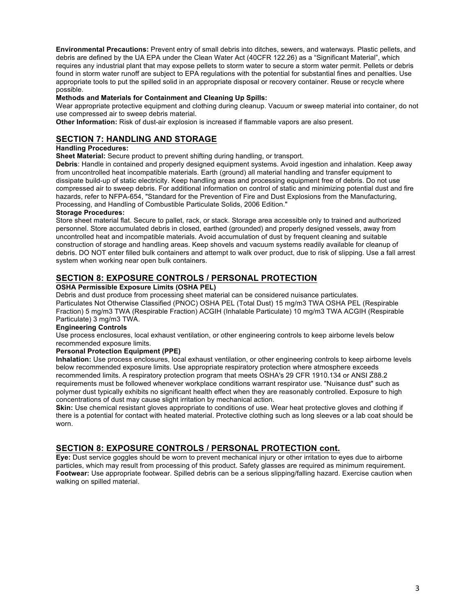**Environmental Precautions:** Prevent entry of small debris into ditches, sewers, and waterways. Plastic pellets, and debris are defined by the UA EPA under the Clean Water Act (40CFR 122.26) as a "Significant Material", which requires any industrial plant that may expose pellets to storm water to secure a storm water permit. Pellets or debris found in storm water runoff are subject to EPA regulations with the potential for substantial fines and penalties. Use appropriate tools to put the spilled solid in an appropriate disposal or recovery container. Reuse or recycle where possible.

### **Methods and Materials for Containment and Cleaning Up Spills:**

Wear appropriate protective equipment and clothing during cleanup. Vacuum or sweep material into container, do not use compressed air to sweep debris material.

**Other Information:** Risk of dust-air explosion is increased if flammable vapors are also present.

### **SECTION 7: HANDLING AND STORAGE**

### **Handling Procedures:**

**Sheet Material:** Secure product to prevent shifting during handling, or transport.

**Debris**: Handle in contained and properly designed equipment systems. Avoid ingestion and inhalation. Keep away from uncontrolled heat incompatible materials. Earth (ground) all material handling and transfer equipment to dissipate build-up of static electricity. Keep handling areas and processing equipment free of debris. Do not use compressed air to sweep debris. For additional information on control of static and minimizing potential dust and fire hazards, refer to NFPA-654, "Standard for the Prevention of Fire and Dust Explosions from the Manufacturing, Processing, and Handling of Combustible Particulate Solids, 2006 Edition."

#### **Storage Procedures:**

Store sheet material flat. Secure to pallet, rack, or stack. Storage area accessible only to trained and authorized personnel. Store accumulated debris in closed, earthed (grounded) and properly designed vessels, away from uncontrolled heat and incompatible materials. Avoid accumulation of dust by frequent cleaning and suitable construction of storage and handling areas. Keep shovels and vacuum systems readily available for cleanup of debris. DO NOT enter filled bulk containers and attempt to walk over product, due to risk of slipping. Use a fall arrest system when working near open bulk containers.

### **SECTION 8: EXPOSURE CONTROLS / PERSONAL PROTECTION**

#### **OSHA Permissible Exposure Limits (OSHA PEL)**

Debris and dust produce from processing sheet material can be considered nuisance particulates. Particulates Not Otherwise Classified (PNOC) OSHA PEL (Total Dust) 15 mg/m3 TWA OSHA PEL (Respirable Fraction) 5 mg/m3 TWA (Respirable Fraction) ACGIH (Inhalable Particulate) 10 mg/m3 TWA ACGIH (Respirable Particulate) 3 mg/m3 TWA.

#### **Engineering Controls**

Use process enclosures, local exhaust ventilation, or other engineering controls to keep airborne levels below recommended exposure limits.

#### **Personal Protection Equipment (PPE)**

**Inhalation:** Use process enclosures, local exhaust ventilation, or other engineering controls to keep airborne levels below recommended exposure limits. Use appropriate respiratory protection where atmosphere exceeds recommended limits. A respiratory protection program that meets OSHA's 29 CFR 1910.134 or ANSI Z88.2 requirements must be followed whenever workplace conditions warrant respirator use. "Nuisance dust" such as polymer dust typically exhibits no significant health effect when they are reasonably controlled. Exposure to high concentrations of dust may cause slight irritation by mechanical action.

**Skin:** Use chemical resistant gloves appropriate to conditions of use. Wear heat protective gloves and clothing if there is a potential for contact with heated material. Protective clothing such as long sleeves or a lab coat should be worn.

### **SECTION 8: EXPOSURE CONTROLS / PERSONAL PROTECTION cont.**

**Eye:** Dust service goggles should be worn to prevent mechanical injury or other irritation to eyes due to airborne particles, which may result from processing of this product. Safety glasses are required as minimum requirement. **Footwear:** Use appropriate footwear. Spilled debris can be a serious slipping/falling hazard. Exercise caution when walking on spilled material.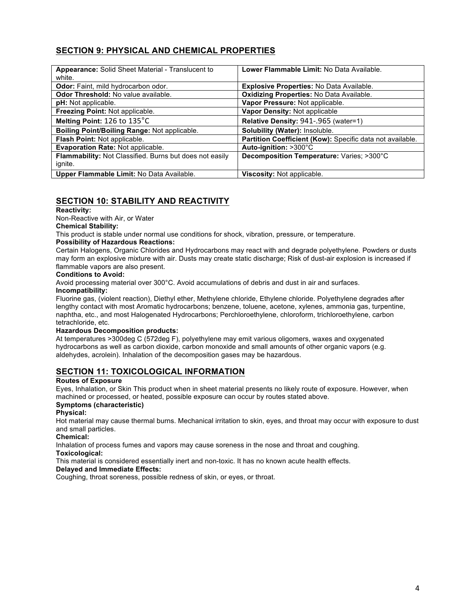### **SECTION 9: PHYSICAL AND CHEMICAL PROPERTIES**

| <b>Appearance:</b> Solid Sheet Material - Translucent to<br>white. | Lower Flammable Limit: No Data Available.                 |
|--------------------------------------------------------------------|-----------------------------------------------------------|
| Odor: Faint, mild hydrocarbon odor.                                | <b>Explosive Properties: No Data Available.</b>           |
| Odor Threshold: No value available.                                | Oxidizing Properties: No Data Available.                  |
| <b>pH:</b> Not applicable.                                         | Vapor Pressure: Not applicable.                           |
| Freezing Point: Not applicable.                                    | Vapor Density: Not applicable                             |
| Melting Point: 126 to 135°C                                        | Relative Density: 941-.965 (water=1)                      |
| Boiling Point/Boiling Range: Not applicable.                       | Solubility (Water): Insoluble.                            |
| Flash Point: Not applicable.                                       | Partition Coefficient (Kow): Specific data not available. |
| Evaporation Rate: Not applicable.                                  | Auto-ignition: >300°C                                     |
| Flammability: Not Classified. Burns but does not easily            | Decomposition Temperature: Varies; >300°C                 |
| ignite.                                                            |                                                           |
| Upper Flammable Limit: No Data Available.                          | Viscosity: Not applicable.                                |

### **SECTION 10: STABILITY AND REACTIVITY**

### **Reactivity:**

Non-Reactive with Air, or Water

### **Chemical Stability:**

This product is stable under normal use conditions for shock, vibration, pressure, or temperature.

#### **Possibility of Hazardous Reactions:**

Certain Halogens, Organic Chlorides and Hydrocarbons may react with and degrade polyethylene. Powders or dusts may form an explosive mixture with air. Dusts may create static discharge; Risk of dust-air explosion is increased if flammable vapors are also present.

#### **Conditions to Avoid:**

Avoid processing material over 300°C. Avoid accumulations of debris and dust in air and surfaces. **Incompatibility:**

Fluorine gas, (violent reaction), Diethyl ether, Methylene chloride, Ethylene chloride. Polyethylene degrades after lengthy contact with most Aromatic hydrocarbons; benzene, toluene, acetone, xylenes, ammonia gas, turpentine, naphtha, etc., and most Halogenated Hydrocarbons; Perchloroethylene, chloroform, trichloroethylene, carbon tetrachloride, etc.

#### **Hazardous Decomposition products:**

At temperatures >300deg C (572deg F), polyethylene may emit various oligomers, waxes and oxygenated hydrocarbons as well as carbon dioxide, carbon monoxide and small amounts of other organic vapors (e.g. aldehydes, acrolein). Inhalation of the decomposition gases may be hazardous.

### **SECTION 11: TOXICOLOGICAL INFORMATION**

### **Routes of Exposure**

Eyes, Inhalation, or Skin This product when in sheet material presents no likely route of exposure. However, when machined or processed, or heated, possible exposure can occur by routes stated above.

### **Symptoms (characteristic)**

### **Physical:**

Hot material may cause thermal burns. Mechanical irritation to skin, eyes, and throat may occur with exposure to dust and small particles.

#### **Chemical:**

Inhalation of process fumes and vapors may cause soreness in the nose and throat and coughing.

#### **Toxicological:**

This material is considered essentially inert and non-toxic. It has no known acute health effects.

#### **Delayed and Immediate Effects:**

Coughing, throat soreness, possible redness of skin, or eyes, or throat.